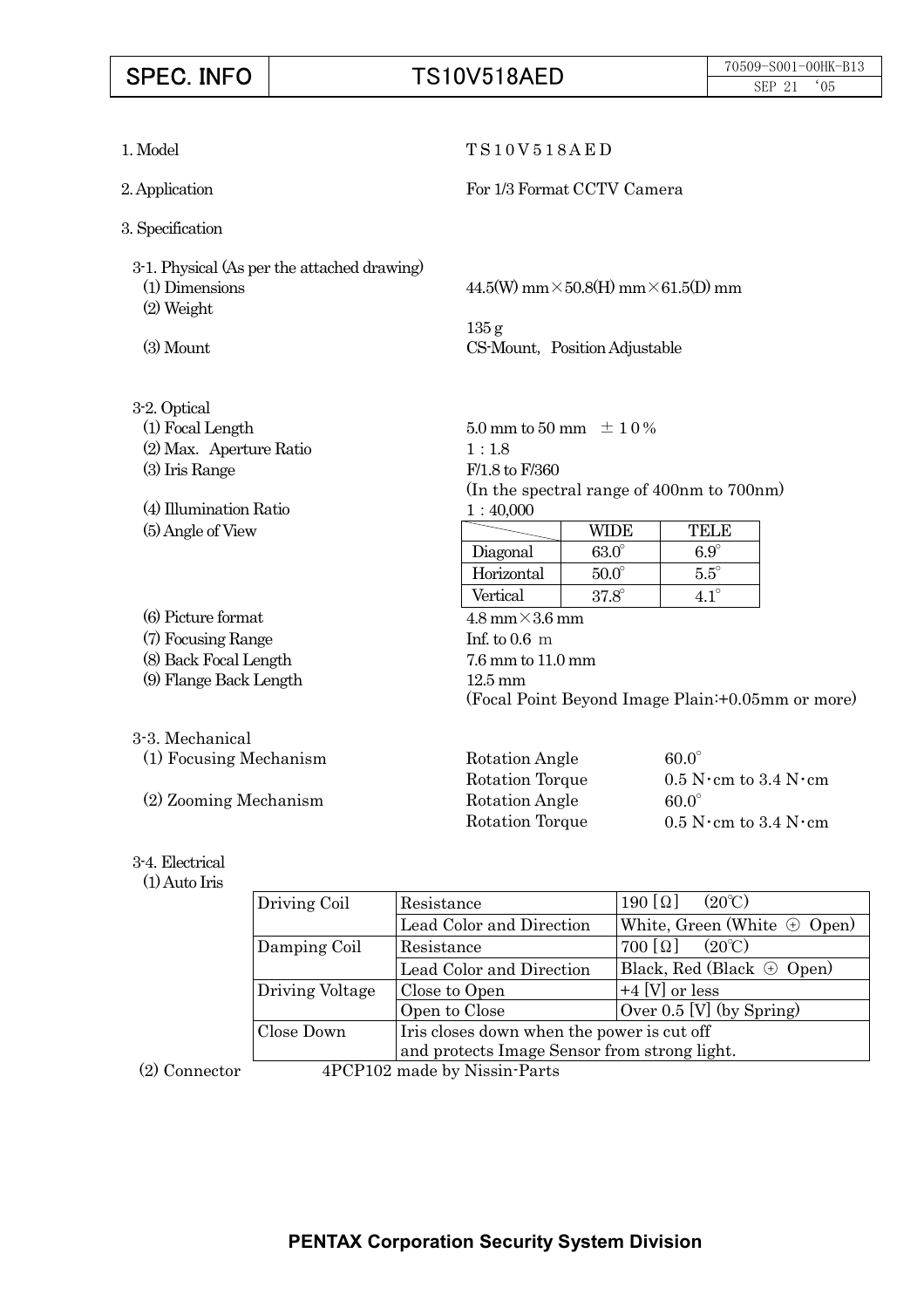# **SPEC. INFO** TS10V518AED 70509-S001-00HK-B13 1. Model T S 1 0 V 5 1 8 A E D

2. Application For 1/3 Format CCTV Camera

3. Specification

3-1. Physical (As per the attached drawing) (1) Dimensions  $44.5(W)$  mm $\times$  50.8(H) mm $\times$  61.5(D) mm (2) Weight

135 g (3) Mount CS-Mount, Position Adjustable

| 3-2. Optical            |                                                  |              |                                        |  |
|-------------------------|--------------------------------------------------|--------------|----------------------------------------|--|
| (1) Focal Length        | 5.0 mm to 50 mm $\pm$ 1 0 %                      |              |                                        |  |
| (2) Max. Aperture Ratio | 1:1.8                                            |              |                                        |  |
| (3) Iris Range          | $F/1.8$ to $F/360$                               |              |                                        |  |
|                         | (In the spectral range of 400nm to 700nm)        |              |                                        |  |
| (4) Illumination Ratio  | 1:40,000                                         |              |                                        |  |
| (5) Angle of View       |                                                  | WIDE         | <b>TELE</b>                            |  |
|                         | Diagonal                                         | $63.0^\circ$ | $6.9^\circ$                            |  |
|                         | Horizontal                                       | $50.0^\circ$ | $5.5^{\circ}$                          |  |
|                         | Vertical                                         | $37.8^\circ$ | $4.1^\circ$                            |  |
| (6) Picture format      | $4.8 \text{ mm} \times 3.6 \text{ mm}$           |              |                                        |  |
| (7) Focusing Range      | Inf. to $0.6 \text{ m}$                          |              |                                        |  |
| (8) Back Focal Length   | $7.6$ mm to $11.0$ mm                            |              |                                        |  |
| (9) Flange Back Length  | $12.5 \text{ mm}$                                |              |                                        |  |
|                         | (Focal Point Beyond Image Plain:+0.05mm or more) |              |                                        |  |
| 3-3. Mechanical         |                                                  |              |                                        |  |
| (1) Focusing Mechanism  | Rotation Angle                                   |              | $60.0^\circ$                           |  |
|                         | Rotation Torque                                  |              | $0.5$ N $\cdot$ cm to 3.4 N $\cdot$ cm |  |
| (2) Zooming Mechanism   | <b>Rotation Angle</b><br>$60.0^\circ$            |              |                                        |  |
|                         | Rotation Torque                                  |              | $0.5$ N $\cdot$ cm to 3.4 N $\cdot$ cm |  |

3-4. Electrical

### (1) Auto Iris

|        | Driving Coil    | Resistance                                                                                 | $190 [\Omega]$<br>$(20^{\circ}C)$  |  |  |
|--------|-----------------|--------------------------------------------------------------------------------------------|------------------------------------|--|--|
|        |                 | Lead Color and Direction                                                                   | White, Green (White $\oplus$ Open) |  |  |
|        | Damping Coil    | Resistance                                                                                 | $700 [\Omega]$<br>$(20^{\circ}C)$  |  |  |
|        |                 | Lead Color and Direction                                                                   | Black, Red (Black $\oplus$ Open)   |  |  |
|        | Driving Voltage | Close to Open                                                                              | $+4$ [V] or less                   |  |  |
|        |                 | Open to Close                                                                              | Over $0.5$ [V] (by Spring)         |  |  |
|        | Close Down      | Iris closes down when the power is cut off<br>and protects Image Sensor from strong light. |                                    |  |  |
|        |                 |                                                                                            |                                    |  |  |
| $\sim$ | 15022222        | $\mathbf{1}$ $\mathbf{1}$ $\mathbf{N}$ $\mathbf{N}$ $\mathbf{N}$ $\mathbf{N}$ $\mathbf{N}$ |                                    |  |  |

(2) Connector 4PCP102 made by Nissin-Parts

# **PENTAX Corporation Security System Division**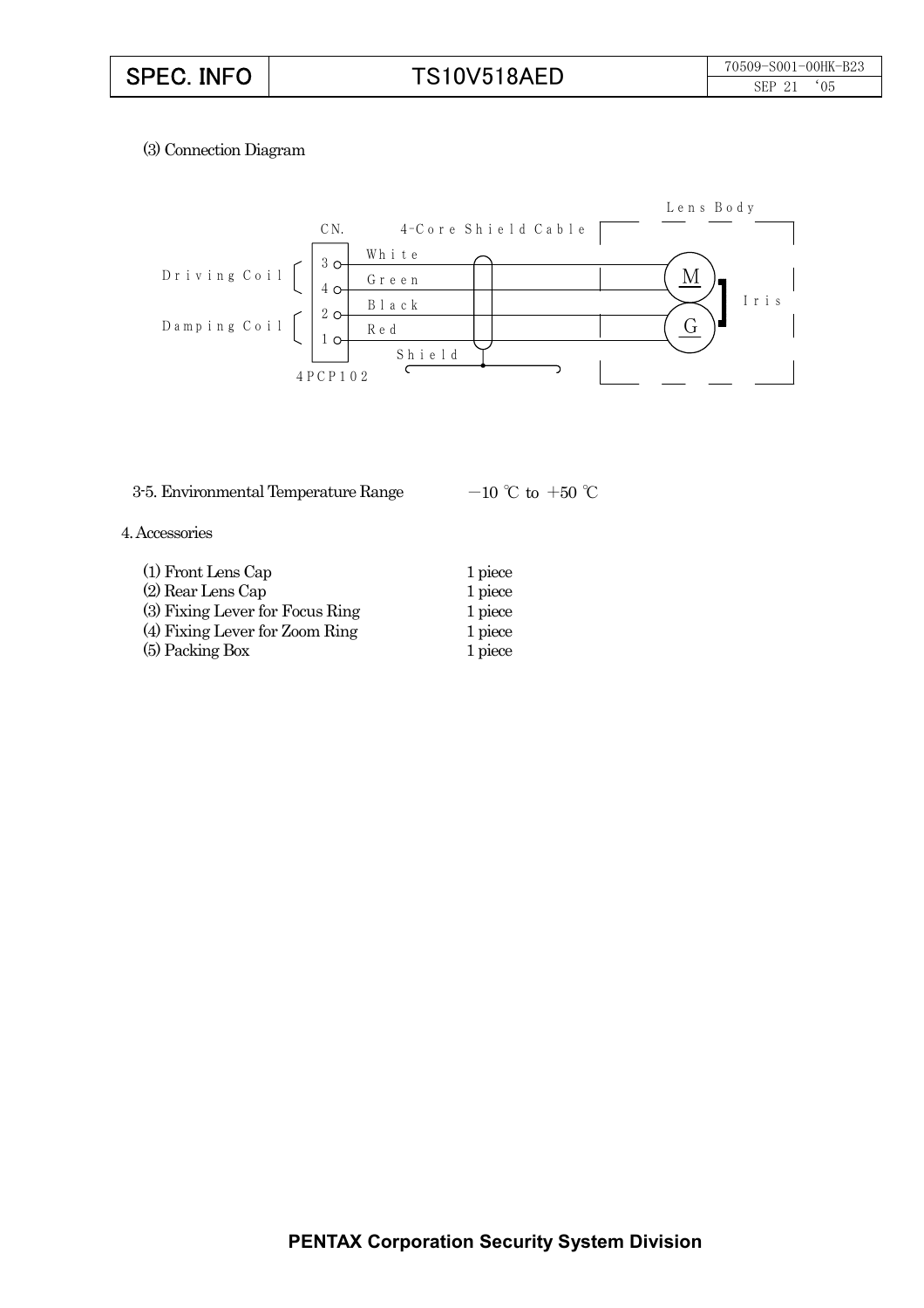# (3) Connection Diagram



## 3-5. Environmental Temperature Range  $-10$  °C to  $+50$  °C

### 4. Accessories

| (1) Front Lens Cap              | 1 piece |
|---------------------------------|---------|
| (2) Rear Lens Cap               | 1 piece |
| (3) Fixing Lever for Focus Ring | 1 piece |
| (4) Fixing Lever for Zoom Ring  | 1 piece |
| (5) Packing Box                 | 1 piece |
|                                 |         |